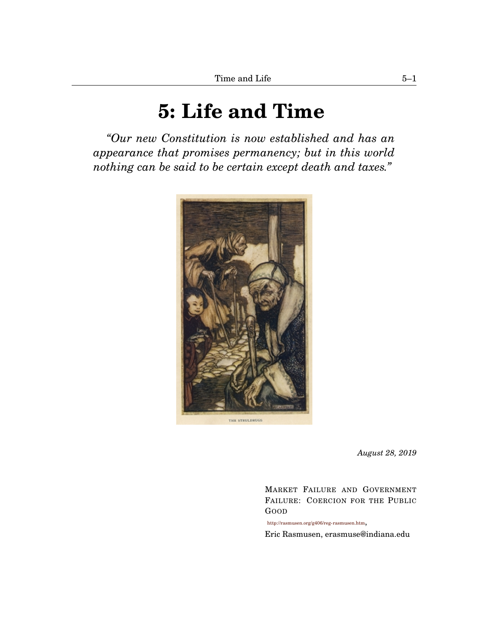# **[5:](#page-0-0) Life and Time**

<span id="page-0-1"></span><span id="page-0-0"></span>*"Our new Constitution is now established and has an appearance that promises permanency; but in this world nothing can be said to be certain except death and taxes."*



*August 28, 2019*

MARKET FAILURE AND GOVERNMENT FAILURE: COERCION FOR THE PUBLIC GOOD

<http://rasmusen.org/g406/reg-rasmusen.htm>,

Eric Rasmusen, erasmuse@indiana.edu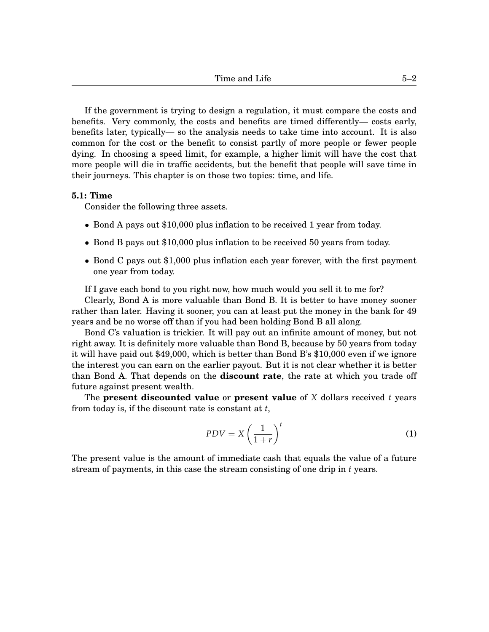If the government is trying to design a regulation, it must compare the costs and benefits. Very commonly, the costs and benefits are timed differently— costs early, benefits later, typically— so the analysis needs to take time into account. It is also common for the cost or the benefit to consist partly of more people or fewer people dying. In choosing a speed limit, for example, a higher limit will have the cost that more people will die in traffic accidents, but the benefit that people will save time in their journeys. This chapter is on those two topics: time, and life.

### **[5.](#page-0-0)1: Time**

Consider the following three assets.

- Bond A pays out \$10,000 plus inflation to be received 1 year from today.
- Bond B pays out \$10,000 plus inflation to be received 50 years from today.
- Bond C pays out \$1,000 plus inflation each year forever, with the first payment one year from today.

If I gave each bond to you right now, how much would you sell it to me for?

Clearly, Bond A is more valuable than Bond B. It is better to have money sooner rather than later. Having it sooner, you can at least put the money in the bank for 49 years and be no worse off than if you had been holding Bond B all along.

Bond C's valuation is trickier. It will pay out an infinite amount of money, but not right away. It is definitely more valuable than Bond B, because by 50 years from today it will have paid out \$49,000, which is better than Bond B's \$10,000 even if we ignore the interest you can earn on the earlier payout. But it is not clear whether it is better than Bond A. That depends on the **discount rate**, the rate at which you trade off future against present wealth.

The **present discounted value** or **present value** of *X* dollars received *t* years from today is, if the discount rate is constant at *t*,

<span id="page-1-0"></span>
$$
PDV = X\left(\frac{1}{1+r}\right)^t\tag{1}
$$

The present value is the amount of immediate cash that equals the value of a future stream of payments, in this case the stream consisting of one drip in *t* years.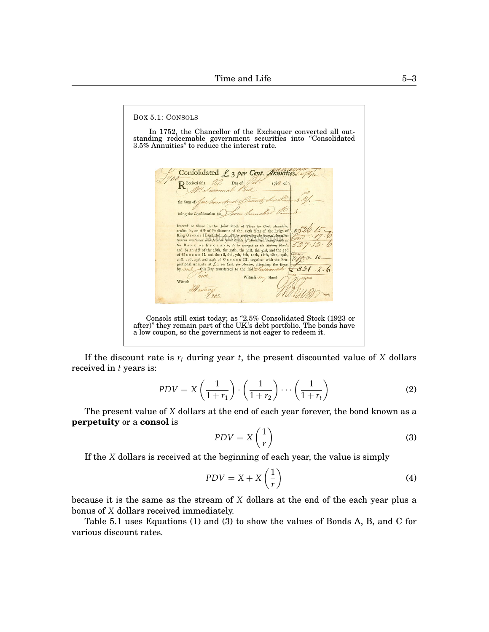<span id="page-2-0"></span>BOX [5](#page-0-0)[.1:](#page-2-0) CONSOLS In 1752, the Chancellor of the Exchequer converted all outstanding redeemable government securities into "Consolidated 3.5% Annuities" to reduce the interest rate. Confolidated £ 3 per Cent. Annuities. 275) R Eceived this Day of Mrs Juson the Sum of five him being the Confideration for Interest or Share in the Joint Stock of *Three per Cent. Amazities*,<br>recelled by an Ack of Parliament of the agth Year of the Reign of<br>King Gronou II, while  $A_n \Delta m B_n^2$  for the perpend *Langith*<br>therein mentioned into Fev  $531$ nice Witness may Hand Witnefa Marting 202. Consols still exist today; as "2.5% Consolidated Stock (1923 or after)" they remain part of the UK's debt portfolio. The bonds have a low coupon, so the government is not eager to redeem it.

If the discount rate is  $r_t$  during year  $t$ , the present discounted value of  $X$  dollars received in *t* years is:

$$
PDV = X\left(\frac{1}{1+r_1}\right) \cdot \left(\frac{1}{1+r_2}\right) \cdots \left(\frac{1}{1+r_t}\right) \tag{2}
$$

The present value of *X* dollars at the end of each year forever, the bond known as a **perpetuity** or a **consol** is

<span id="page-2-1"></span>
$$
PDV = X\left(\frac{1}{r}\right) \tag{3}
$$

If the *X* dollars is received at the beginning of each year, the value is simply

$$
PDV = X + X\left(\frac{1}{r}\right) \tag{4}
$$

because it is the same as the stream of *X* dollars at the end of the each year plus a bonus of *X* dollars received immediately.

<span id="page-2-2"></span>Table [5.](#page-0-0)1 uses Equations [\(1\)](#page-1-0) and [\(3\)](#page-2-1) to show the values of Bonds A, B, and C for various discount rates.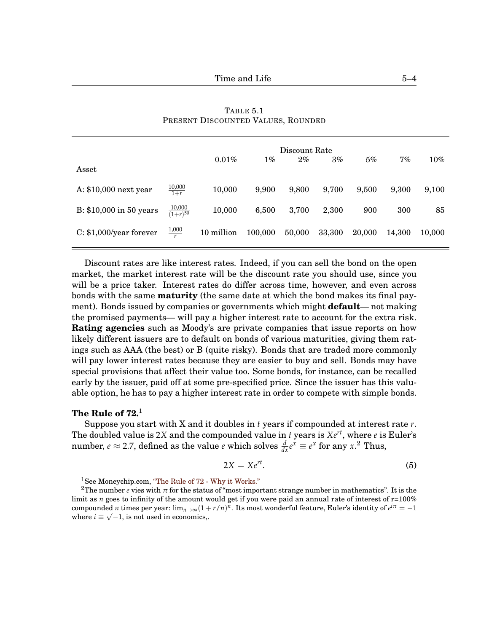|                           |                             | Discount Rate |         |        |        |        |        |        |
|---------------------------|-----------------------------|---------------|---------|--------|--------|--------|--------|--------|
|                           |                             | $0.01\%$      | $1\%$   | $2\%$  | 3%     | 5%     | 7%     | $10\%$ |
| Asset                     |                             |               |         |        |        |        |        |        |
| A: \$10,000 next year     | $\frac{10,000}{1+r}$        | 10,000        | 9,900   | 9,800  | 9,700  | 9,500  | 9,300  | 9,100  |
| B: \$10,000 in 50 years   | $\frac{10,000}{(1+r)^{50}}$ | 10,000        | 6,500   | 3,700  | 2,300  | 900    | 300    | 85     |
| $C: $1,000$ /year forever | $\frac{1,000}{r}$           | 10 million    | 100,000 | 50,000 | 33,300 | 20,000 | 14,300 | 10,000 |

TABLE [5.](#page-0-0)[1](#page-2-2) PRESENT DISCOUNTED VALUES, ROUNDED

Discount rates are like interest rates. Indeed, if you can sell the bond on the open market, the market interest rate will be the discount rate you should use, since you will be a price taker. Interest rates do differ across time, however, and even across bonds with the same **maturity** (the same date at which the bond makes its final payment). Bonds issued by companies or governments which might **default**— not making the promised payments— will pay a higher interest rate to account for the extra risk. **Rating agencies** such as Moody's are private companies that issue reports on how likely different issuers are to default on bonds of various maturities, giving them ratings such as AAA (the best) or B (quite risky). Bonds that are traded more commonly will pay lower interest rates because they are easier to buy and sell. Bonds may have special provisions that affect their value too. Some bonds, for instance, can be recalled early by the issuer, paid off at some pre-specified price. Since the issuer has this valuable option, he has to pay a higher interest rate in order to compete with simple bonds.

# **The Rule of 72.**[1](#page-0-1)

Suppose you start with X and it doubles in *t* years if compounded at interest rate *r*. The doubled value is 2*X* and the compounded value in *t* years is *Xert*, where *e* is Euler's number,  $e \approx 2.7$  $e \approx 2.7$  $e \approx 2.7$ , defined as the value  $e$  which solves  $\frac{d}{dx}e^x \equiv e^x$  for any  $x$ .<sup>2</sup> Thus,

$$
2X = Xe^{rt}.\t\t(5)
$$

<sup>&</sup>lt;sup>1</sup>See Moneychip.com, ["The Rule of 72 - Why it Works."](http://www.moneychimp.com/features/rule72_why.htm)

<sup>&</sup>lt;sup>2</sup>The number *e* vies with  $\pi$  for the status of "most important strange number in mathematics". It is the limit as *n* goes to infinity of the amount would get if you were paid an annual rate of interest of r=100% compounded *n* times per year:  $\lim_{n\to\infty}(1+r/n)^n$ . Its most wonderful feature, Euler's identity of  $e^{i\pi}=-1$ where  $i \equiv \sqrt{-1}$ , is not used in economics,.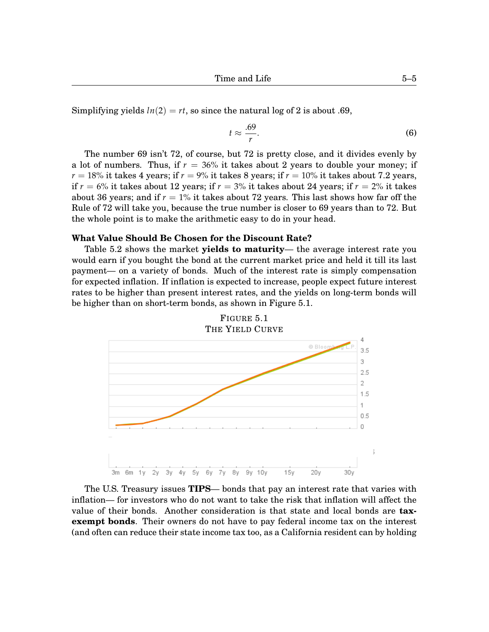Simplifying yields  $ln(2) = rt$ , so since the natural log of 2 is about .69,

$$
t \approx \frac{.69}{r}.\tag{6}
$$

The number 69 isn't 72, of course, but 72 is pretty close, and it divides evenly by a lot of numbers. Thus, if  $r = 36\%$  it takes about 2 years to double your money; if  $r = 18\%$  it takes 4 years; if  $r = 9\%$  it takes 8 years; if  $r = 10\%$  it takes about 7.2 years, if  $r = 6\%$  it takes about 12 years; if  $r = 3\%$  it takes about 24 years; if  $r = 2\%$  it takes about 36 years; and if  $r = 1\%$  it takes about 72 years. This last shows how far off the Rule of 72 will take you, because the true number is closer to 69 years than to 72. But the whole point is to make the arithmetic easy to do in your head.

#### **What Value Should Be Chosen for the Discount Rate?**

Table [5.](#page-0-0)[2](#page-5-0) shows the market **yields to maturity**— the average interest rate you would earn if you bought the bond at the current market price and held it till its last payment— on a variety of bonds. Much of the interest rate is simply compensation for expected inflation. If inflation is expected to increase, people expect future interest rates to be higher than present interest rates, and the yields on long-term bonds will be higher than on short-term bonds, as shown in Figure [5.](#page-0-0)[1.](#page-4-0)

<span id="page-4-0"></span>

The U.S. Treasury issues **TIPS**— bonds that pay an interest rate that varies with inflation— for investors who do not want to take the risk that inflation will affect the value of their bonds. Another consideration is that state and local bonds are **taxexempt bonds**. Their owners do not have to pay federal income tax on the interest (and often can reduce their state income tax too, as a California resident can by holding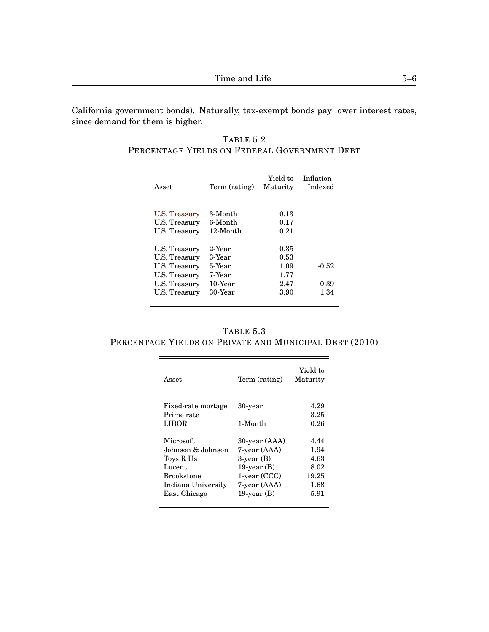California government bonds). Naturally, tax-exempt bonds pay lower interest rates, since demand for them is higher.

<span id="page-5-0"></span>TABLE [5](#page-0-0)[.2](#page-5-0) PERCENTAGE YIELDS ON FEDERAL GOVERNMENT DEBT

| Asset                                                                                              | Term (rating)                                                 | Yield to<br>Maturity                         | Inflation-<br>Indexed |
|----------------------------------------------------------------------------------------------------|---------------------------------------------------------------|----------------------------------------------|-----------------------|
| U.S. Treasury<br>U.S. Treasury<br>U.S. Treasury                                                    | 3-Month<br>6-Month<br>12-Month                                | 0.13<br>0.17<br>0.21                         |                       |
| U.S. Treasury<br>U.S. Treasury<br>U.S. Treasury<br>U.S. Treasury<br>U.S. Treasury<br>U.S. Treasury | 2-Year<br>3-Year<br>5-Year<br>7-Year<br>$10$ -Year<br>30-Year | 0.35<br>0.53<br>1.09<br>1.77<br>2.47<br>3.90 | -0.52<br>0.39<br>1.34 |

<span id="page-5-1"></span>TABLE [5](#page-0-0)[.3](#page-5-1) PERCENTAGE YIELDS ON PRIVATE AND MUNICIPAL DEBT (2010)

<u> 1989 - Johann Stoff, fransk politik (d. 1989)</u>

 $\overline{\phantom{a}}$ 

| Asset                                     | Term (rating)                 | Yield to<br>Maturity |
|-------------------------------------------|-------------------------------|----------------------|
| Fixed-rate mortage<br>Prime rate<br>LIBOR | 30-year<br>1-Month            | 4.29<br>3.25<br>0.26 |
|                                           |                               |                      |
| Microsoft<br>Johnson & Johnson.           | 30-year (AAA)<br>7-year (AAA) | 4.44<br>1.94         |
| Toys R Us                                 | $3$ -year $(B)$               | 4.63                 |
| Lucent                                    | 19-year $(B)$                 | 8.02                 |
| <b>Brookstone</b>                         | 1-year (CCC)                  | 19.25                |
| Indiana University                        | 7-year (AAA)                  | 1.68                 |
| East Chicago                              | 19-year $(B)$                 | 5.91                 |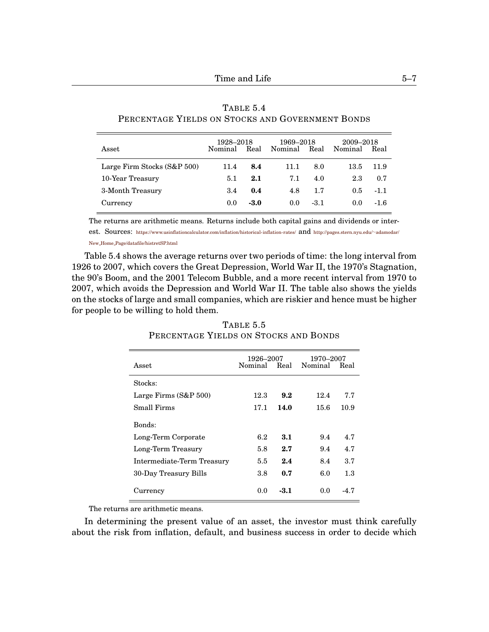| Asset                       | 1928–2018<br>Nominal<br>Real |      | 1969–2018<br>Nominal | Real   | 2009-2018<br>Nominal<br>Real |        |
|-----------------------------|------------------------------|------|----------------------|--------|------------------------------|--------|
| Large Firm Stocks (S&P 500) | 11.4                         | 8.4  | 11.1                 | 8.0    | 13.5                         | 11.9   |
| 10-Year Treasury            | 5.1                          | 2.1  | 7.1                  | 4.0    | 2.3                          | 0.7    |
| 3-Month Treasury            | 3.4                          | 0.4  | 4.8                  | 1.7    | $0.5^{\circ}$                | $-1.1$ |
| Currency                    | 0.0                          | -3.0 | 0.0 <sub>1</sub>     | $-3.1$ | $0.0^{\circ}$                | $-1.6$ |

|  | TABLE 5.4 |                                                  |  |
|--|-----------|--------------------------------------------------|--|
|  |           | PERCENTAGE YIELDS ON STOCKS AND GOVERNMENT BONDS |  |

The returns are arithmetic means. Returns include both capital gains and dividends or interest. Sources: [https://www.usinflationcalculator.com/inflation/historical- inflation-rates/](https://www.usinflationcalculator.com/inflation/historical-inflation-rates/) and [http://pages.stern.nyu.edu/](http://pages.stern.nyu.edu/~adamodar/New_Home_Page/datafile/histretSP.html)∼adamodar/

New Home [Page/datafile/histretSP.html](http://pages.stern.nyu.edu/~adamodar/New_Home_Page/datafile/histretSP.html)

<span id="page-6-0"></span>Table [5.](#page-0-0)4 shows the average returns over two periods of time: the long interval from 1926 to 2007, which covers the Great Depression, World War II, the 1970's Stagnation, the 90's Boom, and the 2001 Telecom Bubble, and a more recent interval from 1970 to 2007, which avoids the Depression and World War II. The table also shows the yields on the stocks of large and small companies, which are riskier and hence must be higher for people to be willing to hold them.

|                            | 1926–2007    |      | 1970–2007    |      |
|----------------------------|--------------|------|--------------|------|
| <b>Asset</b>               | Nominal Real |      | Nominal Real |      |
| Stocks:                    |              |      |              |      |
| Large Firms $(S&P 500)$    | 12.3         | 9.2  | 12.4         | 7.7  |
| Small Firms                | 17.1         | 14.0 | 15.6         | 10.9 |
| Bonds:                     |              |      |              |      |
| Long-Term Corporate        | 6.2          | 3.1  | 9.4          | 4.7  |
| Long-Term Treasury         | 5.8          | 2.7  | 9.4          | 4.7  |
| Intermediate-Term Treasury | 5.5          | 2.4  | 8.4          | 3.7  |
| 30-Day Treasury Bills      | 3.8          | 0.7  | 6.0          | 1.3  |
| Currency                   | 0.0          | -3.1 | 0.0          | -4.7 |

TABLE [5](#page-0-0)[.5](#page-6-0) PERCENTAGE YIELDS ON STOCKS AND BONDS

The returns are arithmetic means.

In determining the present value of an asset, the investor must think carefully about the risk from inflation, default, and business success in order to decide which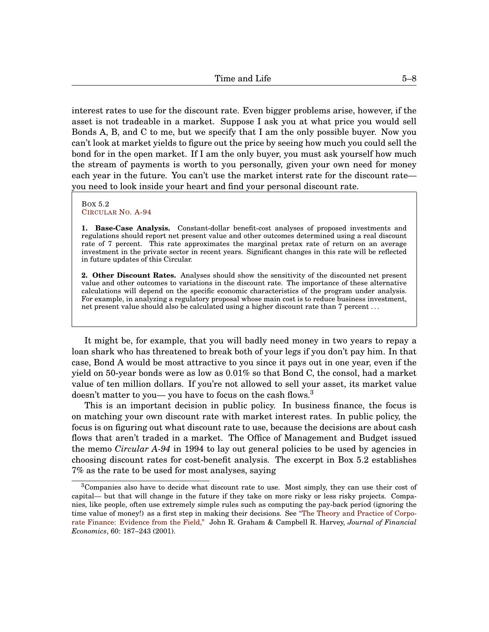interest rates to use for the discount rate. Even bigger problems arise, however, if the asset is not tradeable in a market. Suppose I ask you at what price you would sell Bonds A, B, and C to me, but we specify that I am the only possible buyer. Now you can't look at market yields to figure out the price by seeing how much you could sell the bond for in the open market. If I am the only buyer, you must ask yourself how much the stream of payments is worth to you personally, given your own need for money each year in the future. You can't use the market interst rate for the discount rate you need to look inside your heart and find your personal discount rate.

<span id="page-7-0"></span>BOX [5.](#page-0-0)[2](#page-7-0) C[IRCULAR](http://www.whitehouse.gov/omb/circulars_a094) NO. A-94

**1. Base-Case Analysis.** Constant-dollar benefit-cost analyses of proposed investments and regulations should report net present value and other outcomes determined using a real discount rate of 7 percent. This rate approximates the marginal pretax rate of return on an average investment in the private sector in recent years. Significant changes in this rate will be reflected in future updates of this Circular.

**2. Other Discount Rates.** Analyses should show the sensitivity of the discounted net present value and other outcomes to variations in the discount rate. The importance of these alternative calculations will depend on the specific economic characteristics of the program under analysis. For example, in analyzing a regulatory proposal whose main cost is to reduce business investment, net present value should also be calculated using a higher discount rate than 7 percent . . .

It might be, for example, that you will badly need money in two years to repay a loan shark who has threatened to break both of your legs if you don't pay him. In that case, Bond A would be most attractive to you since it pays out in one year, even if the yield on 50-year bonds were as low as 0.01% so that Bond C, the consol, had a market value of ten million dollars. If you're not allowed to sell your asset, its market value doesn't matter to you— you have to focus on the cash flows.<sup>[3](#page-0-1)</sup>

This is an important decision in public policy. In business finance, the focus is on matching your own discount rate with market interest rates. In public policy, the focus is on figuring out what discount rate to use, because the decisions are about cash flows that aren't traded in a market. The Office of Management and Budget issued the memo *Circular A-94* in 1994 to lay out general policies to be used by agencies in choosing discount rates for cost-benefit analysis. The excerpt in Box [5.](#page-0-0)[2](#page-7-0) establishes 7% as the rate to be used for most analyses, saying

<sup>&</sup>lt;sup>3</sup>Companies also have to decide what discount rate to use. Most simply, they can use their cost of capital— but that will change in the future if they take on more risky or less risky projects. Companies, like people, often use extremely simple rules such as computing the pay-back period (ignoring the time value of money!) as a first step in making their decisions. See ["The Theory and Practice of Corpo](https://faculty.fuqua.duke.edu/~jgraham/website/SurveyPaper.PDF)[rate Finance: Evidence from the Field,"](https://faculty.fuqua.duke.edu/~jgraham/website/SurveyPaper.PDF) John R. Graham & Campbell R. Harvey, *Journal of Financial Economics*, 60: 187–243 (2001).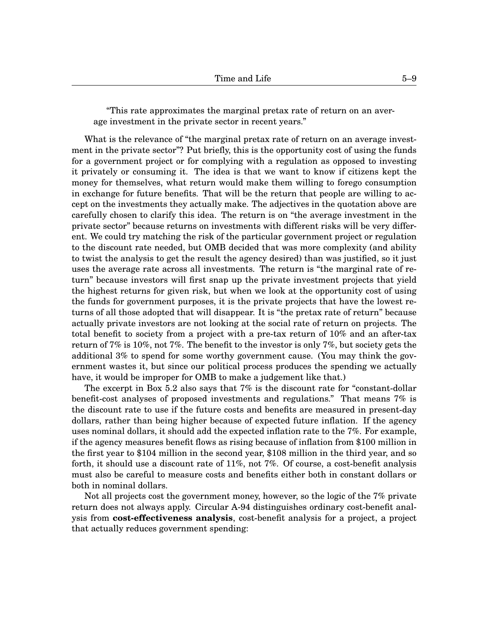"This rate approximates the marginal pretax rate of return on an average investment in the private sector in recent years."

What is the relevance of "the marginal pretax rate of return on an average investment in the private sector"? Put briefly, this is the opportunity cost of using the funds for a government project or for complying with a regulation as opposed to investing it privately or consuming it. The idea is that we want to know if citizens kept the money for themselves, what return would make them willing to forego consumption in exchange for future benefits. That will be the return that people are willing to accept on the investments they actually make. The adjectives in the quotation above are carefully chosen to clarify this idea. The return is on "the average investment in the private sector" because returns on investments with different risks will be very different. We could try matching the risk of the particular government project or regulation to the discount rate needed, but OMB decided that was more complexity (and ability to twist the analysis to get the result the agency desired) than was justified, so it just uses the average rate across all investments. The return is "the marginal rate of return" because investors will first snap up the private investment projects that yield the highest returns for given risk, but when we look at the opportunity cost of using the funds for government purposes, it is the private projects that have the lowest returns of all those adopted that will disappear. It is "the pretax rate of return" because actually private investors are not looking at the social rate of return on projects. The total benefit to society from a project with a pre-tax return of 10% and an after-tax return of 7% is 10%, not 7%. The benefit to the investor is only 7%, but society gets the additional 3% to spend for some worthy government cause. (You may think the government wastes it, but since our political process produces the spending we actually have, it would be improper for OMB to make a judgement like that.)

The excerpt in Box [5.](#page-0-0)[2](#page-7-0) also says that 7% is the discount rate for "constant-dollar benefit-cost analyses of proposed investments and regulations." That means 7% is the discount rate to use if the future costs and benefits are measured in present-day dollars, rather than being higher because of expected future inflation. If the agency uses nominal dollars, it should add the expected inflation rate to the 7%. For example, if the agency measures benefit flows as rising because of inflation from \$100 million in the first year to \$104 million in the second year, \$108 million in the third year, and so forth, it should use a discount rate of 11%, not 7%. Of course, a cost-benefit analysis must also be careful to measure costs and benefits either both in constant dollars or both in nominal dollars.

Not all projects cost the government money, however, so the logic of the 7% private return does not always apply. Circular A-94 distinguishes ordinary cost-benefit analysis from **cost-effectiveness analysis**, cost-benefit analysis for a project, a project that actually reduces government spending: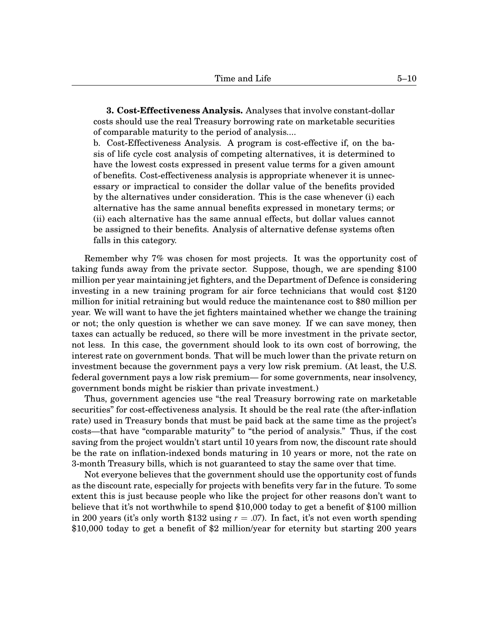**3. Cost-Effectiveness Analysis.** Analyses that involve constant-dollar costs should use the real Treasury borrowing rate on marketable securities of comparable maturity to the period of analysis....

b. Cost-Effectiveness Analysis. A program is cost-effective if, on the basis of life cycle cost analysis of competing alternatives, it is determined to have the lowest costs expressed in present value terms for a given amount of benefits. Cost-effectiveness analysis is appropriate whenever it is unnecessary or impractical to consider the dollar value of the benefits provided by the alternatives under consideration. This is the case whenever (i) each alternative has the same annual benefits expressed in monetary terms; or (ii) each alternative has the same annual effects, but dollar values cannot be assigned to their benefits. Analysis of alternative defense systems often falls in this category.

Remember why 7% was chosen for most projects. It was the opportunity cost of taking funds away from the private sector. Suppose, though, we are spending \$100 million per year maintaining jet fighters, and the Department of Defence is considering investing in a new training program for air force technicians that would cost \$120 million for initial retraining but would reduce the maintenance cost to \$80 million per year. We will want to have the jet fighters maintained whether we change the training or not; the only question is whether we can save money. If we can save money, then taxes can actually be reduced, so there will be more investment in the private sector, not less. In this case, the government should look to its own cost of borrowing, the interest rate on government bonds. That will be much lower than the private return on investment because the government pays a very low risk premium. (At least, the U.S. federal government pays a low risk premium— for some governments, near insolvency, government bonds might be riskier than private investment.)

Thus, government agencies use "the real Treasury borrowing rate on marketable securities" for cost-effectiveness analysis. It should be the real rate (the after-inflation rate) used in Treasury bonds that must be paid back at the same time as the project's costs—that have "comparable maturity" to "the period of analysis." Thus, if the cost saving from the project wouldn't start until 10 years from now, the discount rate should be the rate on inflation-indexed bonds maturing in 10 years or more, not the rate on 3-month Treasury bills, which is not guaranteed to stay the same over that time.

Not everyone believes that the government should use the opportunity cost of funds as the discount rate, especially for projects with benefits very far in the future. To some extent this is just because people who like the project for other reasons don't want to believe that it's not worthwhile to spend \$10,000 today to get a benefit of \$100 million in 200 years (it's only worth \$132 using  $r = .07$ ). In fact, it's not even worth spending \$10,000 today to get a benefit of \$2 million/year for eternity but starting 200 years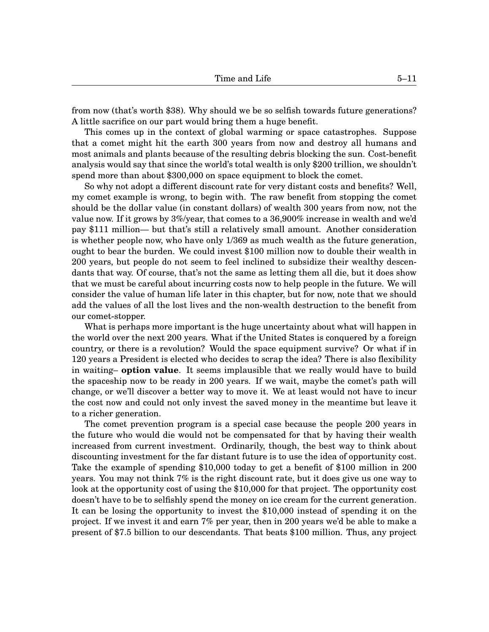from now (that's worth \$38). Why should we be so selfish towards future generations? A little sacrifice on our part would bring them a huge benefit.

This comes up in the context of global warming or space catastrophes. Suppose that a comet might hit the earth 300 years from now and destroy all humans and most animals and plants because of the resulting debris blocking the sun. Cost-benefit analysis would say that since the world's total wealth is only \$200 trillion, we shouldn't spend more than about \$300,000 on space equipment to block the comet.

So why not adopt a different discount rate for very distant costs and benefits? Well, my comet example is wrong, to begin with. The raw benefit from stopping the comet should be the dollar value (in constant dollars) of wealth 300 years from now, not the value now. If it grows by 3%/year, that comes to a 36,900% increase in wealth and we'd pay \$111 million— but that's still a relatively small amount. Another consideration is whether people now, who have only 1/369 as much wealth as the future generation, ought to bear the burden. We could invest \$100 million now to double their wealth in 200 years, but people do not seem to feel inclined to subsidize their wealthy descendants that way. Of course, that's not the same as letting them all die, but it does show that we must be careful about incurring costs now to help people in the future. We will consider the value of human life later in this chapter, but for now, note that we should add the values of all the lost lives and the non-wealth destruction to the benefit from our comet-stopper.

What is perhaps more important is the huge uncertainty about what will happen in the world over the next 200 years. What if the United States is conquered by a foreign country, or there is a revolution? Would the space equipment survive? Or what if in 120 years a President is elected who decides to scrap the idea? There is also flexibility in waiting– **option value**. It seems implausible that we really would have to build the spaceship now to be ready in 200 years. If we wait, maybe the comet's path will change, or we'll discover a better way to move it. We at least would not have to incur the cost now and could not only invest the saved money in the meantime but leave it to a richer generation.

The comet prevention program is a special case because the people 200 years in the future who would die would not be compensated for that by having their wealth increased from current investment. Ordinarily, though, the best way to think about discounting investment for the far distant future is to use the idea of opportunity cost. Take the example of spending \$10,000 today to get a benefit of \$100 million in 200 years. You may not think 7% is the right discount rate, but it does give us one way to look at the opportunity cost of using the \$10,000 for that project. The opportunity cost doesn't have to be to selfishly spend the money on ice cream for the current generation. It can be losing the opportunity to invest the \$10,000 instead of spending it on the project. If we invest it and earn 7% per year, then in 200 years we'd be able to make a present of \$7.5 billion to our descendants. That beats \$100 million. Thus, any project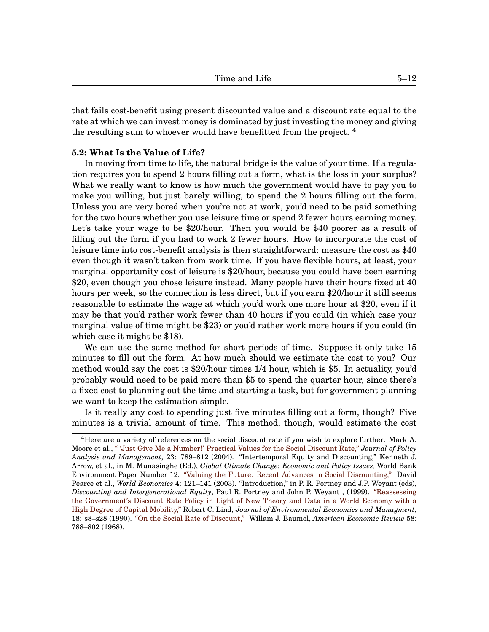that fails cost-benefit using present discounted value and a discount rate equal to the rate at which we can invest money is dominated by just investing the money and giving the resulting sum to whoever would have benefitted from the project.<sup>[4](#page-0-1)</sup>

#### **[5.](#page-0-0)2: What Is the Value of Life?**

In moving from time to life, the natural bridge is the value of your time. If a regulation requires you to spend 2 hours filling out a form, what is the loss in your surplus? What we really want to know is how much the government would have to pay you to make you willing, but just barely willing, to spend the 2 hours filling out the form. Unless you are very bored when you're not at work, you'd need to be paid something for the two hours whether you use leisure time or spend 2 fewer hours earning money. Let's take your wage to be \$20/hour. Then you would be \$40 poorer as a result of filling out the form if you had to work 2 fewer hours. How to incorporate the cost of leisure time into cost-benefit analysis is then straightforward: measure the cost as \$40 even though it wasn't taken from work time. If you have flexible hours, at least, your marginal opportunity cost of leisure is \$20/hour, because you could have been earning \$20, even though you chose leisure instead. Many people have their hours fixed at 40 hours per week, so the connection is less direct, but if you earn \$20/hour it still seems reasonable to estimate the wage at which you'd work one more hour at \$20, even if it may be that you'd rather work fewer than 40 hours if you could (in which case your marginal value of time might be \$23) or you'd rather work more hours if you could (in which case it might be \$18).

We can use the same method for short periods of time. Suppose it only take 15 minutes to fill out the form. At how much should we estimate the cost to you? Our method would say the cost is \$20/hour times 1/4 hour, which is \$5. In actuality, you'd probably would need to be paid more than \$5 to spend the quarter hour, since there's a fixed cost to planning out the time and starting a task, but for government planning we want to keep the estimation simple.

Is it really any cost to spending just five minutes filling out a form, though? Five minutes is a trivial amount of time. This method, though, would estimate the cost

<sup>4</sup>Here are a variety of references on the social discount rate if you wish to explore further: Mark A. Moore et al., [" 'Just Give Me a Number!' Practical Values for the Social Discount Rate,"](http://onlinelibrary.wiley.com/doi/10.1002/pam.20047/abstract) *Journal of Policy Analysis and Management*, 23: 789–812 (2004). "Intertemporal Equity and Discounting," Kenneth J. Arrow, et al., in M. Munasinghe (Ed.), *Global Climate Change: Economic and Policy Issues,* World Bank Environment Paper Number 12. ["Valuing the Future: Recent Advances in Social Discounting,"](http://citeseerx.ist.psu.edu/viewdoc/download?doi=10.1.1.121.130&rep=rep1&type=pdf) David Pearce et al., *World Economics* 4: 121–141 (2003). "Introduction," in P. R. Portney and J.P. Weyant (eds), *Discounting and Intergenerational Equity*, Paul R. Portney and John P. Weyant , (1999). ["Reassessing](http://www.sciencedirect.com/science/article/pii/009506969090035W) [the Government's Discount Rate Policy in Light of New Theory and Data in a World Economy with a](http://www.sciencedirect.com/science/article/pii/009506969090035W) [High Degree of Capital Mobility,"](http://www.sciencedirect.com/science/article/pii/009506969090035W) Robert C. Lind, *Journal of Environmental Economics and Managment*, 18: s8–s28 (1990). ["On the Social Rate of Discount,"](http://www.jstor.org/stable/1815533) Willam J. Baumol, *American Economic Review* 58: 788–802 (1968).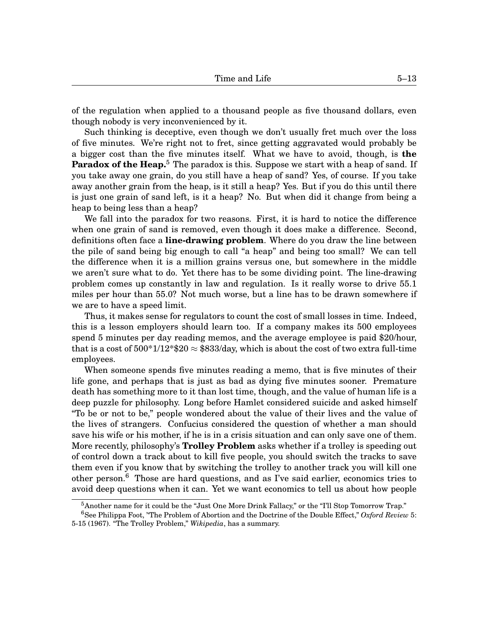of the regulation when applied to a thousand people as five thousand dollars, even though nobody is very inconvenienced by it.

Such thinking is deceptive, even though we don't usually fret much over the loss of five minutes. We're right not to fret, since getting aggravated would probably be a bigger cost than the five minutes itself. What we have to avoid, though, is **the** Paradox of the Heap.<sup>[5](#page-0-1)</sup> The paradox is this. Suppose we start with a heap of sand. If you take away one grain, do you still have a heap of sand? Yes, of course. If you take away another grain from the heap, is it still a heap? Yes. But if you do this until there is just one grain of sand left, is it a heap? No. But when did it change from being a heap to being less than a heap?

We fall into the paradox for two reasons. First, it is hard to notice the difference when one grain of sand is removed, even though it does make a difference. Second, definitions often face a **line-drawing problem**. Where do you draw the line between the pile of sand being big enough to call "a heap" and being too small? We can tell the difference when it is a million grains versus one, but somewhere in the middle we aren't sure what to do. Yet there has to be some dividing point. The line-drawing problem comes up constantly in law and regulation. Is it really worse to drive 55.1 miles per hour than 55.0? Not much worse, but a line has to be drawn somewhere if we are to have a speed limit.

Thus, it makes sense for regulators to count the cost of small losses in time. Indeed, this is a lesson employers should learn too. If a company makes its 500 employees spend 5 minutes per day reading memos, and the average employee is paid \$20/hour, that is a cost of  $500*1/12*820 \approx $833/\text{day}$ , which is about the cost of two extra full-time employees.

When someone spends five minutes reading a memo, that is five minutes of their life gone, and perhaps that is just as bad as dying five minutes sooner. Premature death has something more to it than lost time, though, and the value of human life is a deep puzzle for philosophy. Long before Hamlet considered suicide and asked himself "To be or not to be," people wondered about the value of their lives and the value of the lives of strangers. Confucius considered the question of whether a man should save his wife or his mother, if he is in a crisis situation and can only save one of them. More recently, philosophy's **Trolley Problem** asks whether if a trolley is speeding out of control down a track about to kill five people, you should switch the tracks to save them even if you know that by switching the trolley to another track you will kill one other person.<sup>[6](#page-0-1)</sup> Those are hard questions, and as I've said earlier, economics tries to avoid deep questions when it can. Yet we want economics to tell us about how people

 $5$ Another name for it could be the "Just One More Drink Fallacy," or the "I'll Stop Tomorrow Trap."

<sup>6</sup>See Philippa Foot, ''The Problem of Abortion and the Doctrine of the Double Effect," *Oxford Review* 5: 5-15 (1967). "The Trolley Problem," *Wikipedia*, has a summary.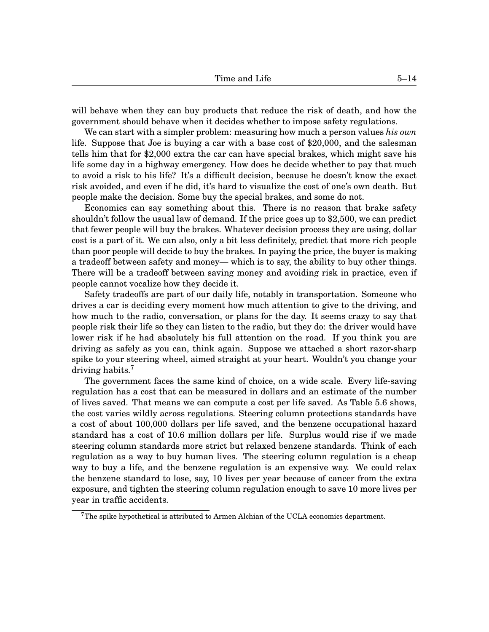will behave when they can buy products that reduce the risk of death, and how the government should behave when it decides whether to impose safety regulations.

We can start with a simpler problem: measuring how much a person values *his own* life. Suppose that Joe is buying a car with a base cost of \$20,000, and the salesman tells him that for \$2,000 extra the car can have special brakes, which might save his life some day in a highway emergency. How does he decide whether to pay that much to avoid a risk to his life? It's a difficult decision, because he doesn't know the exact risk avoided, and even if he did, it's hard to visualize the cost of one's own death. But people make the decision. Some buy the special brakes, and some do not.

Economics can say something about this. There is no reason that brake safety shouldn't follow the usual law of demand. If the price goes up to \$2,500, we can predict that fewer people will buy the brakes. Whatever decision process they are using, dollar cost is a part of it. We can also, only a bit less definitely, predict that more rich people than poor people will decide to buy the brakes. In paying the price, the buyer is making a tradeoff between safety and money— which is to say, the ability to buy other things. There will be a tradeoff between saving money and avoiding risk in practice, even if people cannot vocalize how they decide it.

Safety tradeoffs are part of our daily life, notably in transportation. Someone who drives a car is deciding every moment how much attention to give to the driving, and how much to the radio, conversation, or plans for the day. It seems crazy to say that people risk their life so they can listen to the radio, but they do: the driver would have lower risk if he had absolutely his full attention on the road. If you think you are driving as safely as you can, think again. Suppose we attached a short razor-sharp spike to your steering wheel, aimed straight at your heart. Wouldn't you change your driving habits.<sup>[7](#page-0-1)</sup>

The government faces the same kind of choice, on a wide scale. Every life-saving regulation has a cost that can be measured in dollars and an estimate of the number of lives saved. That means we can compute a cost per life saved. As Table [5.](#page-0-0)[6](#page-14-0) shows, the cost varies wildly across regulations. Steering column protections standards have a cost of about 100,000 dollars per life saved, and the benzene occupational hazard standard has a cost of 10.6 million dollars per life. Surplus would rise if we made steering column standards more strict but relaxed benzene standards. Think of each regulation as a way to buy human lives. The steering column regulation is a cheap way to buy a life, and the benzene regulation is an expensive way. We could relax the benzene standard to lose, say, 10 lives per year because of cancer from the extra exposure, and tighten the steering column regulation enough to save 10 more lives per year in traffic accidents.

<sup>&</sup>lt;sup>7</sup>The spike hypothetical is attributed to Armen Alchian of the UCLA economics department.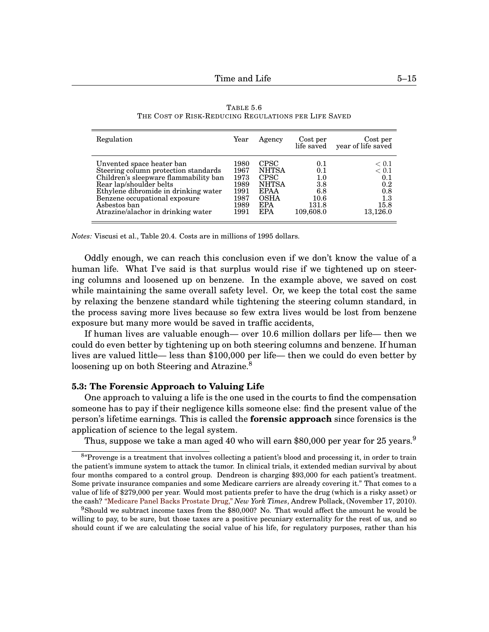<span id="page-14-0"></span>

| Regulation                            | Year | Agency       | Cost per  | Cost per<br>life saved year of life saved |
|---------------------------------------|------|--------------|-----------|-------------------------------------------|
| Unvented space heater ban             | 1980 | <b>CPSC</b>  | 0.1       | < 0.1                                     |
| Steering column protection standards  | 1967 | <b>NHTSA</b> | 0.1       | < 0.1                                     |
| Children's sleepware flammability ban | 1973 | <b>CPSC</b>  | 1.0       | 0.1                                       |
| Rear lap/shoulder belts               | 1989 | <b>NHTSA</b> | 3.8       | 0.2                                       |
| Ethylene dibromide in drinking water  | 1991 | <b>EPAA</b>  | 6.8       | 0.8                                       |
| Benzene occupational exposure         | 1987 | <b>OSHA</b>  | 10.6      | 1.3                                       |
| Asbestos ban                          | 1989 | <b>EPA</b>   | 131.8     | 15.8                                      |
| Atrazine/alachor in drinking water    | 1991 | <b>EPA</b>   | 109,608.0 | 13,126.0                                  |

TABLE [5.](#page-0-0)[6](#page-14-0) THE COST OF RISK-REDUCING REGULATIONS PER LIFE SAVED

*Notes:* Viscusi et al., Table 20.4. Costs are in millions of 1995 dollars.

Oddly enough, we can reach this conclusion even if we don't know the value of a human life. What I've said is that surplus would rise if we tightened up on steering columns and loosened up on benzene. In the example above, we saved on cost while maintaining the same overall safety level. Or, we keep the total cost the same by relaxing the benzene standard while tightening the steering column standard, in the process saving more lives because so few extra lives would be lost from benzene exposure but many more would be saved in traffic accidents,

If human lives are valuable enough— over 10.6 million dollars per life— then we could do even better by tightening up on both steering columns and benzene. If human lives are valued little— less than \$100,000 per life— then we could do even better by loosening up on both Steering and Atrazine.<sup>[8](#page-0-1)</sup>

# **[5.](#page-0-0)3: The Forensic Approach to Valuing Life**

One approach to valuing a life is the one used in the courts to find the compensation someone has to pay if their negligence kills someone else: find the present value of the person's lifetime earnings. This is called the **forensic approach** since forensics is the application of science to the legal system.

Thus, suppose we take a man aged 40 who will earn \$80,000 per year for 25 years. $9$ 

<sup>&</sup>lt;sup>8</sup> Provenge is a treatment that involves collecting a patient's blood and processing it, in order to train the patient's immune system to attack the tumor. In clinical trials, it extended median survival by about four months compared to a control group. Dendreon is charging \$93,000 for each patient's treatment. Some private insurance companies and some Medicare carriers are already covering it." That comes to a value of life of \$279,000 per year. Would most patients prefer to have the drug (which is a risky asset) or the cash? ["Medicare Panel Backs Prostate Drug,"](http://prescriptions.blogs.nytimes.com/2010/11/17/medicare-panel-backs-prostate-drug/?hp) *New York Times*, Andrew Pollack, (November 17, 2010).

 $9$ Should we subtract income taxes from the \$80,000? No. That would affect the amount he would be willing to pay, to be sure, but those taxes are a positive pecuniary externality for the rest of us, and so should count if we are calculating the social value of his life, for regulatory purposes, rather than his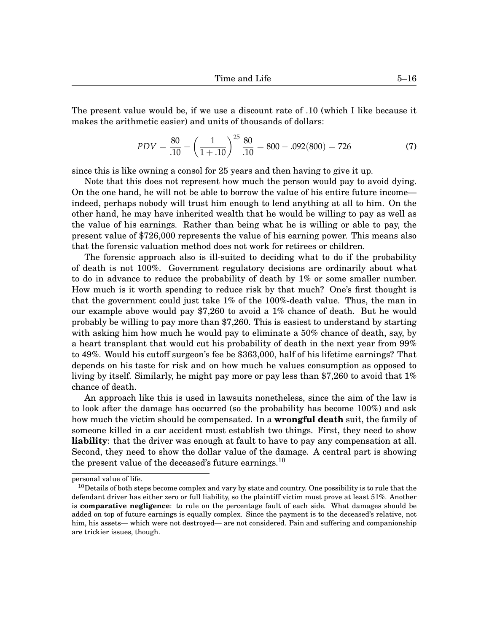The present value would be, if we use a discount rate of .10 (which I like because it makes the arithmetic easier) and units of thousands of dollars:

$$
PDV = \frac{80}{.10} - \left(\frac{1}{1+.10}\right)^{25} \frac{80}{.10} = 800 - .092(800) = 726\tag{7}
$$

since this is like owning a consol for 25 years and then having to give it up.

Note that this does not represent how much the person would pay to avoid dying. On the one hand, he will not be able to borrow the value of his entire future income indeed, perhaps nobody will trust him enough to lend anything at all to him. On the other hand, he may have inherited wealth that he would be willing to pay as well as the value of his earnings. Rather than being what he is willing or able to pay, the present value of \$726,000 represents the value of his earning power. This means also that the forensic valuation method does not work for retirees or children.

The forensic approach also is ill-suited to deciding what to do if the probability of death is not 100%. Government regulatory decisions are ordinarily about what to do in advance to reduce the probability of death by 1% or some smaller number. How much is it worth spending to reduce risk by that much? One's first thought is that the government could just take 1% of the 100%-death value. Thus, the man in our example above would pay \$7,260 to avoid a 1% chance of death. But he would probably be willing to pay more than \$7,260. This is easiest to understand by starting with asking him how much he would pay to eliminate a 50% chance of death, say, by a heart transplant that would cut his probability of death in the next year from 99% to 49%. Would his cutoff surgeon's fee be \$363,000, half of his lifetime earnings? That depends on his taste for risk and on how much he values consumption as opposed to living by itself. Similarly, he might pay more or pay less than \$7,260 to avoid that 1% chance of death.

An approach like this is used in lawsuits nonetheless, since the aim of the law is to look after the damage has occurred (so the probability has become 100%) and ask how much the victim should be compensated. In a **wrongful death** suit, the family of someone killed in a car accident must establish two things. First, they need to show **liability**: that the driver was enough at fault to have to pay any compensation at all. Second, they need to show the dollar value of the damage. A central part is showing the present value of the deceased's future earnings.<sup>[10](#page-0-1)</sup>

personal value of life.

 $10$  Details of both steps become complex and vary by state and country. One possibility is to rule that the defendant driver has either zero or full liability, so the plaintiff victim must prove at least 51%. Another is **comparative negligence**: to rule on the percentage fault of each side. What damages should be added on top of future earnings is equally complex. Since the payment is to the deceased's relative, not him, his assets— which were not destroyed— are not considered. Pain and suffering and companionship are trickier issues, though.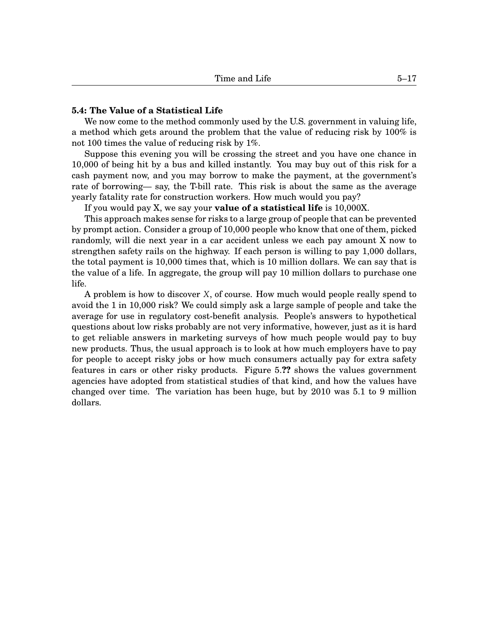# **[5.](#page-0-0)4: The Value of a Statistical Life**

We now come to the method commonly used by the U.S. government in valuing life, a method which gets around the problem that the value of reducing risk by 100% is not 100 times the value of reducing risk by 1%.

Suppose this evening you will be crossing the street and you have one chance in 10,000 of being hit by a bus and killed instantly. You may buy out of this risk for a cash payment now, and you may borrow to make the payment, at the government's rate of borrowing— say, the T-bill rate. This risk is about the same as the average yearly fatality rate for construction workers. How much would you pay?

If you would pay X, we say your **value of a statistical life** is 10,000X.

This approach makes sense for risks to a large group of people that can be prevented by prompt action. Consider a group of 10,000 people who know that one of them, picked randomly, will die next year in a car accident unless we each pay amount X now to strengthen safety rails on the highway. If each person is willing to pay 1,000 dollars, the total payment is 10,000 times that, which is 10 million dollars. We can say that is the value of a life. In aggregate, the group will pay 10 million dollars to purchase one life.

A problem is how to discover *X*, of course. How much would people really spend to avoid the 1 in 10,000 risk? We could simply ask a large sample of people and take the average for use in regulatory cost-benefit analysis. People's answers to hypothetical questions about low risks probably are not very informative, however, just as it is hard to get reliable answers in marketing surveys of how much people would pay to buy new products. Thus, the usual approach is to look at how much employers have to pay for people to accept risky jobs or how much consumers actually pay for extra safety features in cars or other risky products. Figure [5.](#page-0-0)**??** shows the values government agencies have adopted from statistical studies of that kind, and how the values have changed over time. The variation has been huge, but by 2010 was 5.1 to 9 million dollars.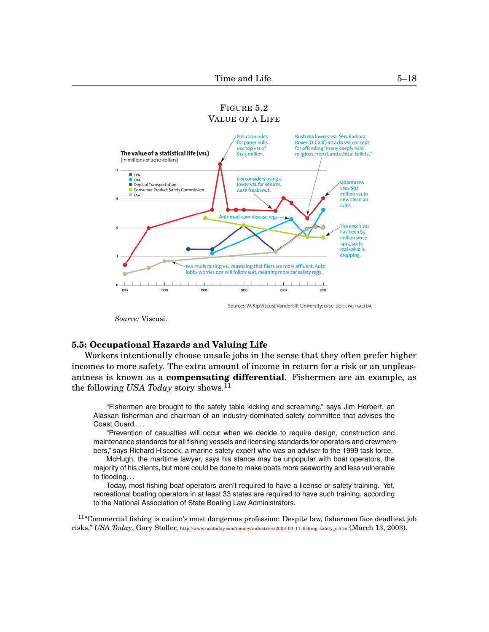<span id="page-17-0"></span>

Sources: W. Kip Viscusi, Vanderbilt University; CPSC; DOT; EPA; FAA; FDA

*Source:* Viscusi.

# **[5.](#page-0-0)5: Occupational Hazards and Valuing Life**

Workers intentionally choose unsafe jobs in the sense that they often prefer higher incomes to more safety. The extra amount of income in return for a risk or an unpleasantness is known as a **compensating differential**. Fishermen are an example, as the following *USA Today* story shows.<sup>[11](#page-0-1)</sup>

"Fishermen are brought to the safety table kicking and screaming," says Jim Herbert, an Alaskan fisherman and chairman of an industry-dominated safety committee that advises the Coast Guard.. . .

"Prevention of casualties will occur when we decide to require design, construction and maintenance standards for all fishing vessels and licensing standards for operators and crewmembers," says Richard Hiscock, a marine safety expert who was an adviser to the 1999 task force.

McHugh, the maritime lawyer, says his stance may be unpopular with boat operators, the majority of his clients, but more could be done to make boats more seaworthy and less vulnerable to flooding. . .

Today, most fishing boat operators aren't required to have a license or safety training. Yet, recreational boating operators in at least 33 states are required to have such training, according to the National Association of State Boating Law Administrators.

<sup>11</sup>"Commercial fishing is nation's most dangerous profession: Despite law, fishermen face deadliest job risks," *USA Today*, Gary Stoller, [http://www.usatoday.com/money/industries/2003-03-11-fishing-safety](http://www.usatoday.com/money/industries/2003-03-11-fishing-safety_x.htm) x.htm (March 13, 2003).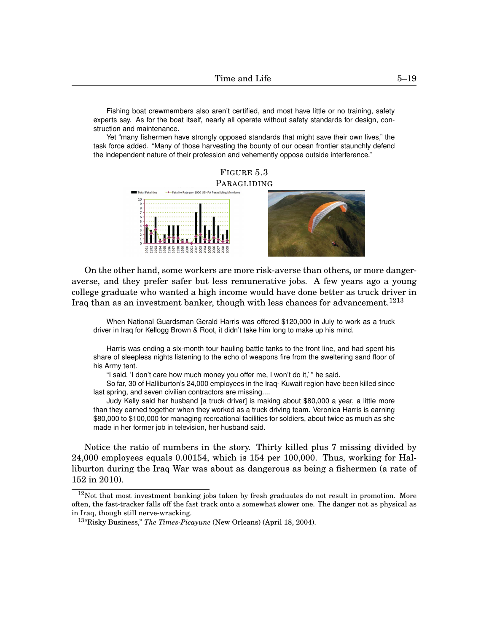Fishing boat crewmembers also aren't certified, and most have little or no training, safety experts say. As for the boat itself, nearly all operate without safety standards for design, construction and maintenance.

Yet "many fishermen have strongly opposed standards that might save their own lives," the task force added. "Many of those harvesting the bounty of our ocean frontier staunchly defend the independent nature of their profession and vehemently oppose outside interference."

<span id="page-18-0"></span>

On the other hand, some workers are more risk-averse than others, or more dangeraverse, and they prefer safer but less remunerative jobs. A few years ago a young college graduate who wanted a high income would have done better as truck driver in Iraq than as an investment banker, though with less chances for advancement.<sup>[1213](#page-0-1)</sup>

When National Guardsman Gerald Harris was offered \$120,000 in July to work as a truck driver in Iraq for Kellogg Brown & Root, it didn't take him long to make up his mind.

Harris was ending a six-month tour hauling battle tanks to the front line, and had spent his share of sleepless nights listening to the echo of weapons fire from the sweltering sand floor of his Army tent.

"I said, 'I don't care how much money you offer me, I won't do it,' " he said.

So far, 30 of Halliburton's 24,000 employees in the Iraq- Kuwait region have been killed since last spring, and seven civilian contractors are missing....

Judy Kelly said her husband [a truck driver] is making about \$80,000 a year, a little more than they earned together when they worked as a truck driving team. Veronica Harris is earning \$80,000 to \$100,000 for managing recreational facilities for soldiers, about twice as much as she made in her former job in television, her husband said.

Notice the ratio of numbers in the story. Thirty killed plus 7 missing divided by 24,000 employees equals 0.00154, which is 154 per 100,000. Thus, working for Halliburton during the Iraq War was about as dangerous as being a fishermen (a rate of 152 in 2010).

 $12$ Not that most investment banking jobs taken by fresh graduates do not result in promotion. More often, the fast-tracker falls off the fast track onto a somewhat slower one. The danger not as physical as in Iraq, though still nerve-wracking.

<sup>13</sup>"Risky Business," *The Times-Picayune* (New Orleans) (April 18, 2004).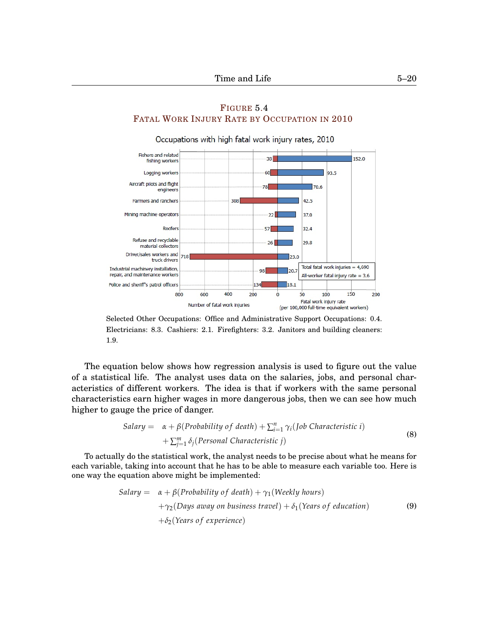<span id="page-19-0"></span>

# F[IGURE](http://www.bls.gov/iif/oshwc/cfoi/cfch0009.jpg) [5](#page-0-0)[.4](#page-19-0) FATAL WORK INJURY RATE BY O[CCUPATION IN](http://www.bls.gov/iif/oshwc/cfoi/cfch0009.jpg) 2010

Selected Other Occupations: Office and Administrative Support Occupations: 0.4. Electricians: 8.3. Cashiers: 2.1. Firefighters: 3.2. Janitors and building cleaners: 1.9.

The equation below shows how regression analysis is used to figure out the value of a statistical life. The analyst uses data on the salaries, jobs, and personal characteristics of different workers. The idea is that if workers with the same personal characteristics earn higher wages in more dangerous jobs, then we can see how much higher to gauge the price of danger.

Salary = 
$$
\alpha + \beta
$$
(Probability of death) +  $\sum_{i=1}^{n} \gamma_i$  (Job Characteristic i)  
+  $\sum_{j=1}^{m} \delta_j$  (Personal Characteristic j) (8)

To actually do the statistical work, the analyst needs to be precise about what he means for each variable, taking into account that he has to be able to measure each variable too. Here is one way the equation above might be implemented:

Salary = 
$$
\alpha + \beta
$$
(Probability of death) +  $\gamma_1$ (Weekly hours)  
+ $\gamma_2$ (Days away on business travel) +  $\delta_1$ (Years of education)  
+ $\delta_2$ (Years of experience) (9)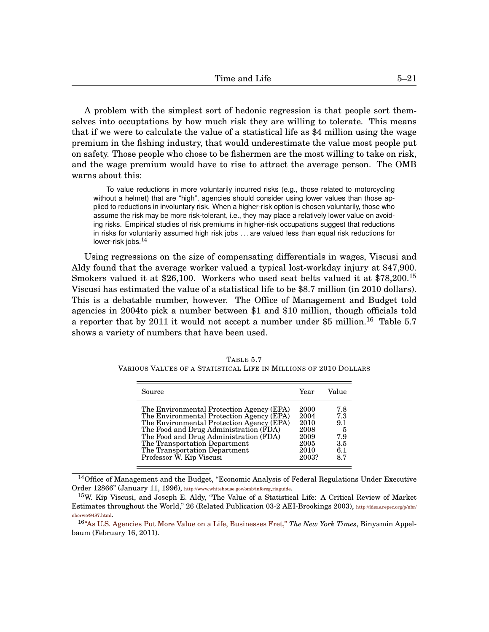A problem with the simplest sort of hedonic regression is that people sort themselves into occuptations by how much risk they are willing to tolerate. This means that if we were to calculate the value of a statistical life as \$4 million using the wage premium in the fishing industry, that would underestimate the value most people put on safety. Those people who chose to be fishermen are the most willing to take on risk, and the wage premium would have to rise to attract the average person. The OMB warns about this:

To value reductions in more voluntarily incurred risks (e.g., those related to motorcycling without a helmet) that are "high", agencies should consider using lower values than those applied to reductions in involuntary risk. When a higher-risk option is chosen voluntarily, those who assume the risk may be more risk-tolerant, i.e., they may place a relatively lower value on avoiding risks. Empirical studies of risk premiums in higher-risk occupations suggest that reductions in risks for voluntarily assumed high risk jobs . . . are valued less than equal risk reductions for lower-risk jobs.<sup>[14](#page-0-1)</sup>

Using regressions on the size of compensating differentials in wages, Viscusi and Aldy found that the average worker valued a typical lost-workday injury at \$47,900. Smokers valued it at \$26,100. Workers who used seat belts valued it at \$78,200.<sup>[15](#page-0-1)</sup> Viscusi has estimated the value of a statistical life to be \$8.7 million (in 2010 dollars). This is a debatable number, however. The Office of Management and Budget told agencies in 2004to pick a number between \$1 and \$10 million, though officials told a reporter that by 2011 it would not accept a number under \$5 million.<sup>[16](#page-0-1)</sup> Table [5.](#page-0-0)[7](#page-20-0) shows a variety of numbers that have been used.

| Source                                    | Year  | Value |
|-------------------------------------------|-------|-------|
| The Environmental Protection Agency (EPA) | 2000  | 7.8   |
| The Environmental Protection Agency (EPA) | 2004  | 7.3   |
| The Environmental Protection Agency (EPA) | 2010  | 9.1   |
| The Food and Drug Administration (FDA)    | 2008  | -5    |
| The Food and Drug Administration (FDA)    | 2009  | 7.9   |
| The Transportation Department             | 2005  | 3.5   |
| The Transportation Department             | 2010  | 6.1   |
| Professor W. Kip Viscusi                  | 2003? | 8.7   |

<span id="page-20-0"></span>TABLE [5.](#page-0-0)[7](#page-20-0) VARIOUS VALUES OF A STATISTICAL LIFE IN MILLIONS OF 2010 DOLLARS

 $14$ Office of Management and the Budget, "Economic Analysis of Federal Regulations Under Executive Order 12866" (January 11, 1996), [http://www.whitehouse.gov/omb/inforeg](http://www.whitehouse.gov/omb/inforeg_riaguide).riaguide.

<sup>15</sup>W. Kip Viscusi, and Joseph E. Aldy, "The Value of a Statistical Life: A Critical Review of Market Estimates throughout the World," 26 (Related Publication 03-2 AEI-Brookings 2003), [http://ideas.repec.org/p/nbr/](http://ideas.repec.org/p/nbr/nberwo/9487.html) [nberwo/9487.html](http://ideas.repec.org/p/nbr/nberwo/9487.html).

<sup>16</sup>["As U.S. Agencies Put More Value on a Life, Businesses Fret,"](http://www.nytimes.com/2011/02/17/business/economy/17regulation.html?_r= 2&src=me&ref=business ) *The New York Times*, Binyamin Appelbaum (February 16, 2011).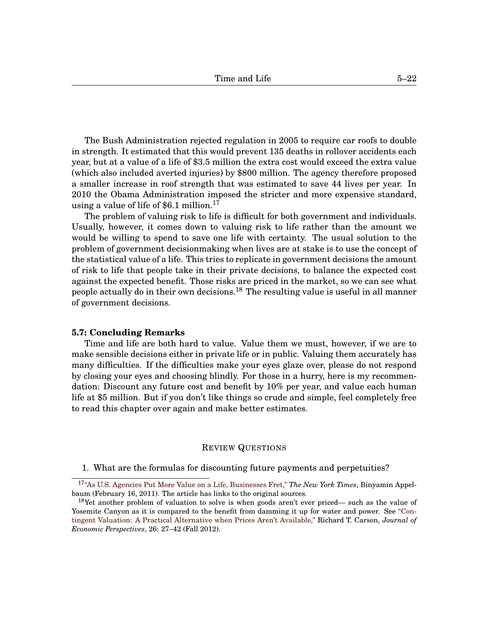The Bush Administration rejected regulation in 2005 to require car roofs to double in strength. It estimated that this would prevent 135 deaths in rollover accidents each year, but at a value of a life of \$3.5 million the extra cost would exceed the extra value (which also included averted injuries) by \$800 million. The agency therefore proposed a smaller increase in roof strength that was estimated to save 44 lives per year. In 2010 the Obama Administration imposed the stricter and more expensive standard, using a value of life of  $$6.1$  million.<sup>[17](#page-0-1)</sup>

The problem of valuing risk to life is difficult for both government and individuals. Usually, however, it comes down to valuing risk to life rather than the amount we would be willing to spend to save one life with certainty. The usual solution to the problem of government decisionmaking when lives are at stake is to use the concept of the statistical value of a life. This tries to replicate in government decisions the amount of risk to life that people take in their private decisions, to balance the expected cost against the expected benefit. Those risks are priced in the market, so we can see what people actually do in their own decisions.<sup>[18](#page-0-1)</sup> The resulting value is useful in all manner of government decisions.

#### **[5.](#page-0-0)7: Concluding Remarks**

Time and life are both hard to value. Value them we must, however, if we are to make sensible decisions either in private life or in public. Valuing them accurately has many difficulties. If the difficulties make your eyes glaze over, please do not respond by closing your eyes and choosing blindly. For those in a hurry, here is my recommendation: Discount any future cost and benefit by 10% per year, and value each human life at \$5 million. But if you don't like things so crude and simple, feel completely free to read this chapter over again and make better estimates.

#### REVIEW QUESTIONS

1. What are the formulas for discounting future payments and perpetuities?

<sup>17</sup>["As U.S. Agencies Put More Value on a Life, Businesses Fret,"](http://www.nytimes.com/2011/02/17/business/economy/17regulation.html?_r= 2&src=me&ref=business ) *The New York Times*, Binyamin Appelbaum (February 16, 2011). The article has links to the original sources.

<sup>&</sup>lt;sup>18</sup>Yet another problem of valuation to solve is when goods aren't ever priced— such as the value of Yosemite Canyon as it is compared to the benefit from damming it up for water and power. See ["Con](http://pubs.aeaweb.org/doi/pdfplus/10.1257/jep.26.4.27)[tingent Valuation: A Practical Alternative when Prices Aren't Available,"](http://pubs.aeaweb.org/doi/pdfplus/10.1257/jep.26.4.27) Richard T. Carson, *Journal of Economic Perspectives*, 26: 27–42 (Fall 2012).